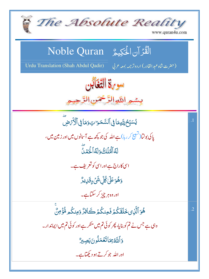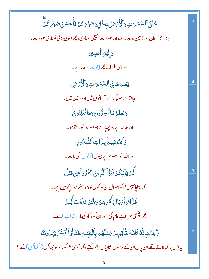| ڂۘڶڹٙٱڶۺٙڡؘڗؾؚۏؘٲڷۘۯٞؠٙڞؘڹؚٲڂۘڹۣۨٚۏۻۊۜ؆ػ۠ۮؘڣؘٲۜڂۺڹؘڞؙڗ؆ػ۠ؽٙۨ                                                    | .3     |
|-----------------------------------------------------------------------------------------------------------------|--------|
| بنائے آسان اور زمین تدبیر سے،اور صورت تھینچی تمہاری، پھر انچھی بنائی تمہاری صورت،                               |        |
| وَإِلَيْهِأَلَّمَصِيرُ                                                                                          |        |
| اور اسی طرف پھر (لوٹ) جاناہے۔                                                                                   |        |
| يَعۡلَمُ مَاٰ فِى ٱلسَّمَوَاتِ وَٱلۡكُرۡصِ                                                                      |        |
| جانٽا ہے جو پچھ ہے آسانوں میں اور زمین میں،                                                                     |        |
| وَيَعۡلَمُ مَاتُسِرُّونَ وَمَاتُّعۡلِنُونَ                                                                      |        |
| اور جانٽاہے جو چھپاتے ہو اور جو کھولتے ہو۔                                                                      |        |
| وَاللَّهُ عَلِيمُ بِنَ اتِ الصُّدُورِ                                                                           |        |
| اور الله کومعلوم ہے جیوں ( دلوں ) کی بات۔                                                                       |        |
| أَلَمُ يَأْتِكُمُ نَبَؤُاْالَّذِينَ كَفَرُواْمِن قَبَلُ                                                         | .5     |
| کیا پہنچانہیں تم کواحوال ان لو گوں کا، جو منکر ہو چکے ہیں پہلے۔                                                 |        |
| فَذَاقُواً وَبَالَ أَمَرِهِمْ وَلَهُمْ عَذَابٌ أَلِيمٌ                                                          |        |
| پھر چھی سز ااپنے کام کی،اور ان کو د کھ کی مار ( عذ اب ) ہے۔                                                     |        |
| ۮ <sup>ؘ</sup> ٚٳڸڰ <sub>ٛ</sub> ۑؚٲۜٮ۠ۜڡ۠ػڶٮؘؾڐۜٲۜٛؾۑۭؗؗٮؽٙ <i>؇ۺ</i> ڷۿۄۑؚٲڷڹؘێٟٸؾؚڣؘقؘٲڷڗٲٲؖڹۺؘڒٛؾؠٙڵؙۅٮ۬ڹؘٵ | $.6\,$ |
| یہ اس پر کہ لاتے تھے ان پاس ان کے رسول نشانیاں، پھر کہتے، کیا آدمی ہم کوراہ سوحجھائیں ( د کھائیں ) گے ؟         |        |
|                                                                                                                 |        |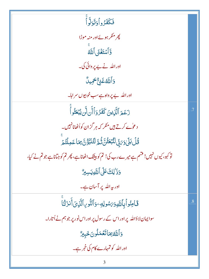| فَكَفَرُواْدَتَوَلَّا أَ                                                                   |    |
|--------------------------------------------------------------------------------------------|----|
| پھر منگر ہوئے اور منہ موڑا                                                                 |    |
| وَّأَسْتَغُنَّى أَللَّهُ                                                                   |    |
| اور اللہ نے بے پر وائی کی۔                                                                 |    |
| <b>وَأَللَّهُ غَنِّ أَحْمِيلٌ</b>                                                          |    |
| اور الله بے پر داہ ہے سب خوبیوں سر اہا۔                                                    |    |
| زَعَمَ ٱلَّذِينَ كَفَرُوٓأَأَنلَّن يُبۡعَثُواْۤ                                            |    |
| د عوٰے کرتے ہیں منکر کہ ہر گزان کواُٹھانانہیں۔                                             |    |
| ٙ<br>ػ۠ڶٙڹڶ؏ <i>ؽ</i> ٙڔٙٚڸڶڹۼڟؙؾۜڎؙڞ <i>ۣۜ</i> ڗڷؿڹڹٷ۠ؾٙۥۣ۬ڡؘٵۼڡؚڶؿ۠ۿۨ                    |    |
| تو کہو، کیوں نہیں! فشم ہے میرے رب کی! تم کو بیٹک اٹھاناہے، پھر تم کو جتاناہے جو تم نے کیا، |    |
| وَذَٰ لِكَ عَلَى ٱللَّهِ يَسِبِرُّ                                                         |    |
| ادر بہ اللہ پر آسان ہے۔                                                                    |    |
| فَاطِنُواْبِاللَّهِوَىَسُولِهِ وَٱلنُّوِياالَّذِىَ أَنزَلْنَا                              | .8 |
| سوایمان لاؤاللہ پر اور اس کے رسول پر اور اس نور پر جو ہم نے اُتارا۔                        |    |
| وَٱللَّهُ بِمَاتَعُمَلُونَ خَبِيرٌ                                                         |    |
| اور اللہ کو تمہارے کام کی خمر ہے۔                                                          |    |
| 3                                                                                          |    |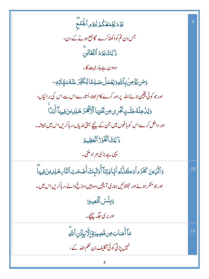يَوْمَيَّجْمَعُكُمُّ لِيَوْمِ ٱلْجُمْع جس دن تم کواکھٹاکرے گا جمع ہونے کے دن، ذَٰ لِكَ يَوۡمُ ٱلتَّغَابُنَ وه دن ہے ہار جیت کا۔ <mark>وَمَن يُؤْمِنُ بِأَلتَّهِ رَيَعُمَلُ صَلِ</mark>حًا يُكَفِّرُ عَنْهُ سَيَّاتِهِ وَ اور جو کوئی یقین لائے اللہ پر اور کرے کام بھلا،اُتارے اس سے اس کی برائیاں، وَيُدٰۡ خِلۡهُجَنَّـٰتٍ يَجۡرِى مِن يَحۡتِہَا ٱلۡكَٰفَـٰٓرُ خَـٰلِىٰ ينَ فِيہَاۤ أَبَدَاۚ اور داخل کرے اس کو باغوں میں جن کے پنچے بہتی ندیاں،رہاکریں اس میں ہمیشہ۔ ذَٰ لِكَ ٱلْفَوَرُ ٱلْعَظِيمُ یہی ہے بڑی مر اد مکنی۔ وَٱلَّذِينَ كَفَرُواْوَكَنَّكُواْبَجَايَتِنَآ أُوۡلَٰٓبِكَ أَصۡكَبُ ٱلنَّارِكَٰلِدِينَ فِيهَآ  $.10$ اور جو منکر ہوئے اور حجٹلائیں ہماری آیتیں،وہ ہیں دوزخ والے،ر ہاکریں اس میں۔ وَيِئْسَ الْمَصِيرُ ادر بر کی جگہ <u>پہنچ</u>۔ مَآأَصَابَ مِن مُّصِيبَةٍ إلَّا بِإِذَنِ ٱللَّهِ .11 نہیں پڑتی کوئی تکلیف بن حکم اللہ کے، 4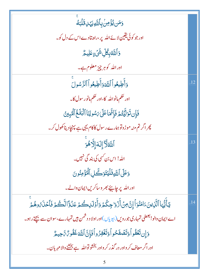| <u>و</u> َمَن يُؤُمِنُ بِأَللَّهِ يَهۡلِ قَلۡبَةُ                                                              |     |
|----------------------------------------------------------------------------------------------------------------|-----|
| اور جو کوئی یقین لائے اللہ پر،راہ بتادے اس کے دل کو۔                                                           |     |
| <b>ۯ</b> ٲڵڶۜڟڹؚڰؙڵؚۺ۬ <i>ؽ۫</i> ۦؚٟڡؘڶؚۑػ۠                                                                    |     |
| اوراللہ کوہرچیز معلوم ہے۔                                                                                      |     |
| وَأَطِيعُواْ ٱللَّهَ وَأَطِيعُواْ ٱلرَّسُولَ                                                                   | .12 |
| اور حکم مانو الله کا،اور حکم مانور سول کا۔                                                                     |     |
| فَإِن تَوَلِّيَّتُمَ فَإِنَّهَا عَلَىٰ بَسُولِنَا ٱلْبَلَخُ ٱلْمُبِينُ                                         |     |
| پھر اگر تم منہ موڑ و توہمارے رسول کا کام یہی ہے پہنچاد یناکھول کر۔                                             |     |
| أَللَّهُ لَا إِلَهَ إِلَّاهُوَ                                                                                 | .13 |
| اللہ! اس بن کسی کی بند گی نہیں۔                                                                                |     |
| وَعَلَى اللَّهِ فَلَيْتَوَكَّلِ الْمُؤْمِنُونَ                                                                 |     |
| اور الله پر چاہئے بھر وساکریں ایمان والے۔                                                                      |     |
| يَأَيُّهَا ٱلَّذِينَ ءَامَنُوٓ أَإِنَّ مِنۡ أَزۡوَا جِكُمۡ وَأَوۡلَىٰلِكُمۡ عَدُوَّاۚ الَّكُمۡ فَٱكۡلَٰهُوهُمۡ | .14 |
| اے ایمان والو! بعضی تمہاری جو رویں(بیویاں )اور اولا د دشمن ہیں تمہارے،سوان سے بیچتے رہو۔                       |     |
| دَإِن تَعَفُّواْ وَتَصَْفَحُواْ وَتَغْفِرُواْ فَإِنَّ اللَّهَ غَفُوهُ تَاحِيمٌ                                 |     |
| اور اگر معاف کر واور در گذر کر واور بخشو تواللّہ ہے بخشنے والامہر بان۔                                         |     |
| 5                                                                                                              |     |